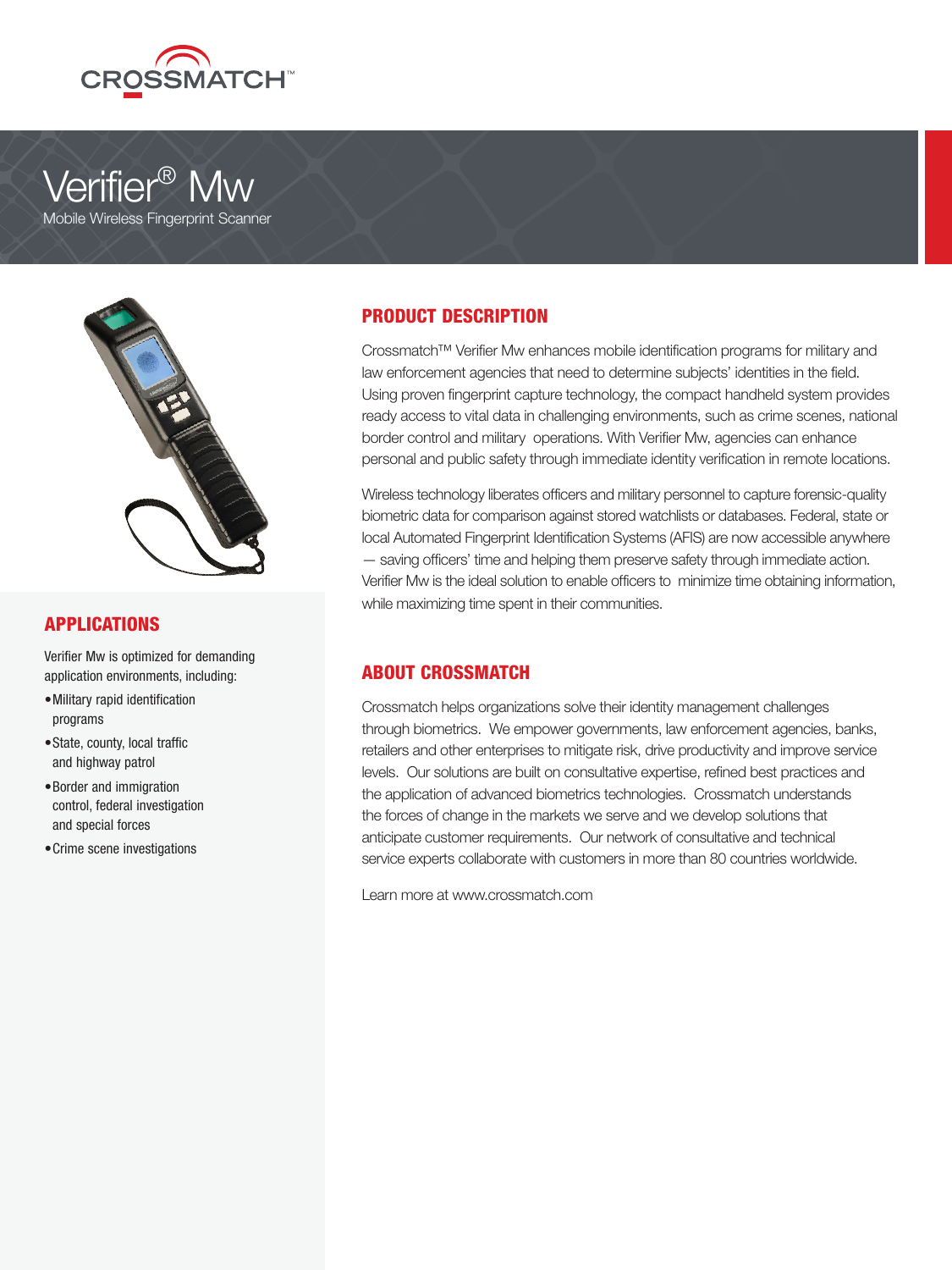





## APPLICATIONS

Verifier Mw is optimized for demanding application environments, including:

- Military rapid identification programs
- State, county, local traffic and highway patrol
- Border and immigration control, federal investigation and special forces
- •Crime scene investigations

# PRODUCT DESCRIPTION

Crossmatch™ Verifier Mw enhances mobile identification programs for military and law enforcement agencies that need to determine subjects' identities in the field. Using proven fingerprint capture technology, the compact handheld system provides ready access to vital data in challenging environments, such as crime scenes, national border control and military operations. With Verifier Mw, agencies can enhance personal and public safety through immediate identity verification in remote locations.

Wireless technology liberates officers and military personnel to capture forensic-quality biometric data for comparison against stored watchlists or databases. Federal, state or local Automated Fingerprint Identification Systems (AFIS) are now accessible anywhere — saving officers' time and helping them preserve safety through immediate action. Verifier Mw is the ideal solution to enable officers to minimize time obtaining information, while maximizing time spent in their communities.

## ABOUT CROSSMATCH

Crossmatch helps organizations solve their identity management challenges through biometrics. We empower governments, law enforcement agencies, banks, retailers and other enterprises to mitigate risk, drive productivity and improve service levels. Our solutions are built on consultative expertise, refined best practices and the application of advanced biometrics technologies. Crossmatch understands the forces of change in the markets we serve and we develop solutions that anticipate customer requirements. Our network of consultative and technical service experts collaborate with customers in more than 80 countries worldwide.

Learn more at www.crossmatch.com